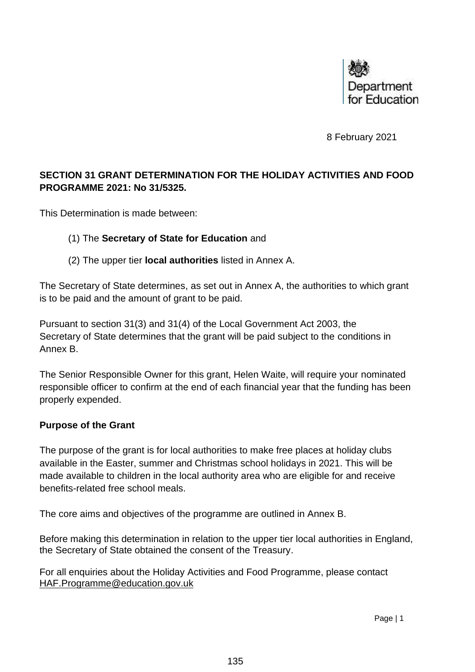

8 February 2021

# **SECTION 31 GRANT DETERMINATION FOR THE HOLIDAY ACTIVITIES AND FOOD PROGRAMME 2021: No 31/5325.**

This Determination is made between:

#### (1) The **Secretary of State for Education** and

(2) The upper tier **local authorities** listed in Annex A.

The Secretary of State determines, as set out in Annex A, the authorities to which grant is to be paid and the amount of grant to be paid.

Pursuant to section 31(3) and 31(4) of the Local Government Act 2003, the Secretary of State determines that the grant will be paid subject to the conditions in Annex B.

The Senior Responsible Owner for this grant, Helen Waite, will require your nominated responsible officer to confirm at the end of each financial year that the funding has been properly expended.

#### **Purpose of the Grant**

The purpose of the grant is for local authorities to make free places at holiday clubs available in the Easter, summer and Christmas school holidays in 2021. This will be made available to children in the local authority area who are eligible for and receive benefits-related free school meals.

The core aims and objectives of the programme are outlined in Annex B.

Before making this determination in relation to the upper tier local authorities in England, the Secretary of State obtained the consent of the Treasury.

For all enquiries about the Holiday Activities and Food Programme, please contact [HAF.Programme@education.gov.uk](mailto:HAF.Programme@education.gov.uk)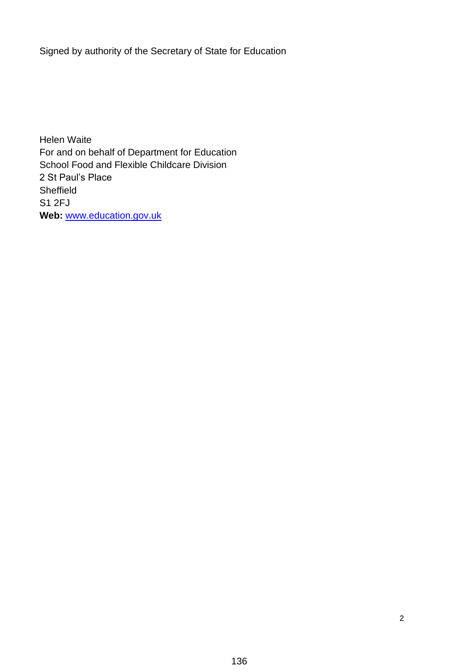Signed by authority of the Secretary of State for Education

Helen Waite For and on behalf of Department for Education School Food and Flexible Childcare Division 2 St Paul's Place Sheffield S1 2FJ **Web:** [www.education.gov.uk](http://www.education.gov.uk/)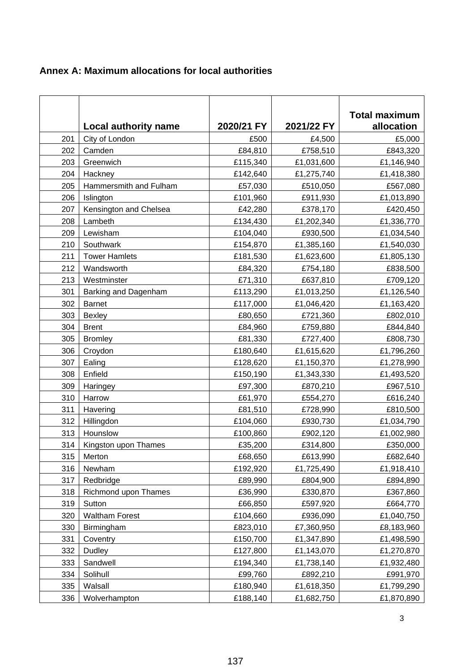|  |  |  |  | Annex A: Maximum allocations for local authorities |
|--|--|--|--|----------------------------------------------------|
|--|--|--|--|----------------------------------------------------|

|     |                             |            |            | <b>Total maximum</b> |
|-----|-----------------------------|------------|------------|----------------------|
|     | <b>Local authority name</b> | 2020/21 FY | 2021/22 FY | allocation           |
| 201 | City of London              | £500       | £4,500     | £5,000               |
| 202 | Camden                      | £84,810    | £758,510   | £843,320             |
| 203 | Greenwich                   | £115,340   | £1,031,600 | £1,146,940           |
| 204 | Hackney                     | £142,640   | £1,275,740 | £1,418,380           |
| 205 | Hammersmith and Fulham      | £57,030    | £510,050   | £567,080             |
| 206 | Islington                   | £101,960   | £911,930   | £1,013,890           |
| 207 | Kensington and Chelsea      | £42,280    | £378,170   | £420,450             |
| 208 | Lambeth                     | £134,430   | £1,202,340 | £1,336,770           |
| 209 | Lewisham                    | £104,040   | £930,500   | £1,034,540           |
| 210 | Southwark                   | £154,870   | £1,385,160 | £1,540,030           |
| 211 | <b>Tower Hamlets</b>        | £181,530   | £1,623,600 | £1,805,130           |
| 212 | Wandsworth                  | £84,320    | £754,180   | £838,500             |
| 213 | Westminster                 | £71,310    | £637,810   | £709,120             |
| 301 | Barking and Dagenham        | £113,290   | £1,013,250 | £1,126,540           |
| 302 | <b>Barnet</b>               | £117,000   | £1,046,420 | £1,163,420           |
| 303 | <b>Bexley</b>               | £80,650    | £721,360   | £802,010             |
| 304 | <b>Brent</b>                | £84,960    | £759,880   | £844,840             |
| 305 | <b>Bromley</b>              | £81,330    | £727,400   | £808,730             |
| 306 | Croydon                     | £180,640   | £1,615,620 | £1,796,260           |
| 307 | Ealing                      | £128,620   | £1,150,370 | £1,278,990           |
| 308 | Enfield                     | £150,190   | £1,343,330 | £1,493,520           |
| 309 | Haringey                    | £97,300    | £870,210   | £967,510             |
| 310 | Harrow                      | £61,970    | £554,270   | £616,240             |
| 311 | Havering                    | £81,510    | £728,990   | £810,500             |
| 312 | Hillingdon                  | £104,060   | £930,730   | £1,034,790           |
| 313 | Hounslow                    | £100,860   | £902,120   | £1,002,980           |
| 314 | Kingston upon Thames        | £35,200    | £314,800   | £350,000             |
| 315 | Merton                      | £68,650    | £613,990   | £682,640             |
| 316 | Newham                      | £192,920   | £1,725,490 | £1,918,410           |
| 317 | Redbridge                   | £89,990    | £804,900   | £894,890             |
| 318 | Richmond upon Thames        | £36,990    | £330,870   | £367,860             |
| 319 | Sutton                      | £66,850    | £597,920   | £664,770             |
| 320 | <b>Waltham Forest</b>       | £104,660   | £936,090   | £1,040,750           |
| 330 | Birmingham                  | £823,010   | £7,360,950 | £8,183,960           |
| 331 | Coventry                    | £150,700   | £1,347,890 | £1,498,590           |
| 332 | <b>Dudley</b>               | £127,800   | £1,143,070 | £1,270,870           |
| 333 | Sandwell                    | £194,340   | £1,738,140 | £1,932,480           |
| 334 | Solihull                    | £99,760    | £892,210   | £991,970             |
| 335 | Walsall                     | £180,940   | £1,618,350 | £1,799,290           |
| 336 | Wolverhampton               | £188,140   | £1,682,750 | £1,870,890           |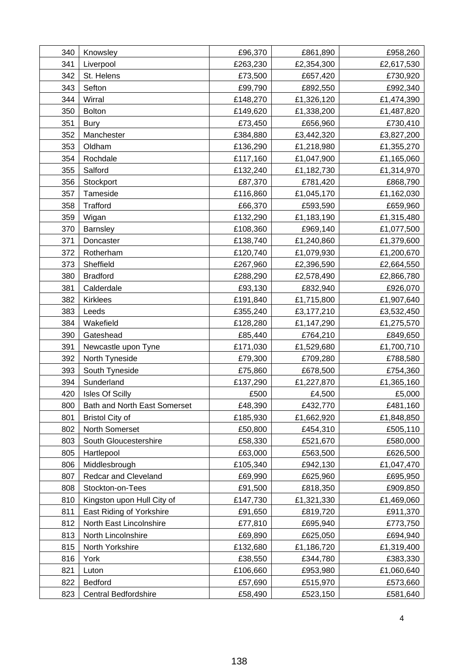| 340 | Knowsley                     | £96,370  | £861,890   | £958,260   |
|-----|------------------------------|----------|------------|------------|
| 341 | Liverpool                    | £263,230 | £2,354,300 | £2,617,530 |
| 342 | St. Helens                   | £73,500  | £657,420   | £730,920   |
| 343 | Sefton                       | £99,790  | £892,550   | £992,340   |
| 344 | Wirral                       | £148,270 | £1,326,120 | £1,474,390 |
| 350 | <b>Bolton</b>                | £149,620 | £1,338,200 | £1,487,820 |
| 351 | <b>Bury</b>                  | £73,450  | £656,960   | £730,410   |
| 352 | Manchester                   | £384,880 | £3,442,320 | £3,827,200 |
| 353 | Oldham                       | £136,290 | £1,218,980 | £1,355,270 |
| 354 | Rochdale                     | £117,160 | £1,047,900 | £1,165,060 |
| 355 | Salford                      | £132,240 | £1,182,730 | £1,314,970 |
| 356 | Stockport                    | £87,370  | £781,420   | £868,790   |
| 357 | Tameside                     | £116,860 | £1,045,170 | £1,162,030 |
| 358 | Trafford                     | £66,370  | £593,590   | £659,960   |
| 359 | Wigan                        | £132,290 | £1,183,190 | £1,315,480 |
| 370 | Barnsley                     | £108,360 | £969,140   | £1,077,500 |
| 371 | Doncaster                    | £138,740 | £1,240,860 | £1,379,600 |
| 372 | Rotherham                    | £120,740 | £1,079,930 | £1,200,670 |
| 373 | Sheffield                    | £267,960 | £2,396,590 | £2,664,550 |
| 380 | <b>Bradford</b>              | £288,290 | £2,578,490 | £2,866,780 |
| 381 | Calderdale                   | £93,130  | £832,940   | £926,070   |
| 382 | <b>Kirklees</b>              | £191,840 | £1,715,800 | £1,907,640 |
| 383 | Leeds                        | £355,240 | £3,177,210 | £3,532,450 |
| 384 | Wakefield                    | £128,280 | £1,147,290 | £1,275,570 |
| 390 | Gateshead                    | £85,440  | £764,210   | £849,650   |
| 391 | Newcastle upon Tyne          | £171,030 | £1,529,680 | £1,700,710 |
| 392 | North Tyneside               | £79,300  | £709,280   | £788,580   |
| 393 | South Tyneside               | £75,860  | £678,500   | £754,360   |
| 394 | Sunderland                   | £137,290 | £1,227,870 | £1,365,160 |
| 420 | <b>Isles Of Scilly</b>       | £500     | £4,500     | £5,000     |
| 800 | Bath and North East Somerset | £48,390  | £432,770   | £481,160   |
| 801 | <b>Bristol City of</b>       | £185,930 | £1,662,920 | £1,848,850 |
| 802 | North Somerset               | £50,800  | £454,310   | £505,110   |
| 803 | South Gloucestershire        | £58,330  | £521,670   | £580,000   |
| 805 | Hartlepool                   | £63,000  | £563,500   | £626,500   |
| 806 | Middlesbrough                | £105,340 | £942,130   | £1,047,470 |
| 807 | Redcar and Cleveland         | £69,990  | £625,960   | £695,950   |
| 808 | Stockton-on-Tees             | £91,500  | £818,350   | £909,850   |
| 810 | Kingston upon Hull City of   | £147,730 | £1,321,330 | £1,469,060 |
| 811 | East Riding of Yorkshire     | £91,650  | £819,720   | £911,370   |
| 812 | North East Lincolnshire      | £77,810  | £695,940   | £773,750   |
| 813 | North Lincolnshire           | £69,890  | £625,050   | £694,940   |
| 815 | North Yorkshire              | £132,680 | £1,186,720 | £1,319,400 |
| 816 | York                         | £38,550  | £344,780   | £383,330   |
| 821 | Luton                        | £106,660 | £953,980   | £1,060,640 |
| 822 | <b>Bedford</b>               | £57,690  | £515,970   | £573,660   |
| 823 | <b>Central Bedfordshire</b>  | £58,490  | £523,150   | £581,640   |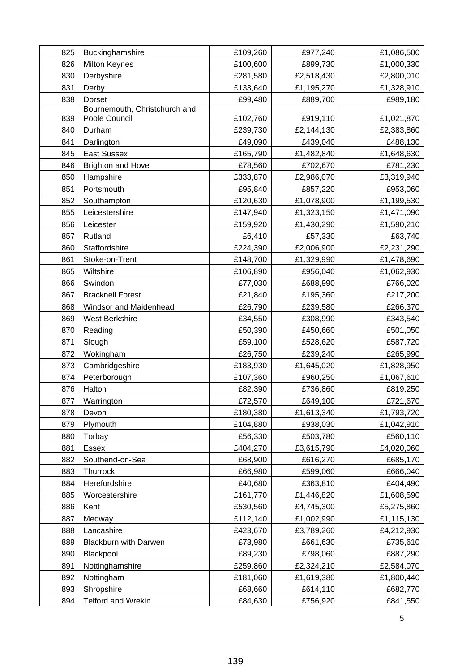| 825<br>826 | Buckinghamshire                    | £109,260             | £977,240               | £1,086,500               |
|------------|------------------------------------|----------------------|------------------------|--------------------------|
| 830        | <b>Milton Keynes</b><br>Derbyshire | £100,600<br>£281,580 | £899,730<br>£2,518,430 | £1,000,330<br>£2,800,010 |
| 831        | Derby                              | £133,640             | £1,195,270             | £1,328,910               |
| 838        | Dorset                             | £99,480              | £889,700               | £989,180                 |
|            | Bournemouth, Christchurch and      |                      |                        |                          |
| 839        | Poole Council                      | £102,760             | £919,110               | £1,021,870               |
| 840        | Durham                             | £239,730             | £2,144,130             | £2,383,860               |
| 841        | Darlington                         | £49,090              | £439,040               | £488,130                 |
| 845        | <b>East Sussex</b>                 | £165,790             | £1,482,840             | £1,648,630               |
| 846        | <b>Brighton and Hove</b>           | £78,560              | £702,670               | £781,230                 |
| 850        | Hampshire                          | £333,870             | £2,986,070             | £3,319,940               |
| 851        | Portsmouth                         | £95,840              | £857,220               | £953,060                 |
| 852        | Southampton                        | £120,630             | £1,078,900             | £1,199,530               |
| 855        | Leicestershire                     | £147,940             | £1,323,150             | £1,471,090               |
| 856        | Leicester                          | £159,920             | £1,430,290             | £1,590,210               |
| 857        | Rutland                            | £6,410               | £57,330                | £63,740                  |
| 860        | Staffordshire                      | £224,390             | £2,006,900             | £2,231,290               |
| 861        | Stoke-on-Trent                     | £148,700             | £1,329,990             | £1,478,690               |
| 865        | Wiltshire                          | £106,890             | £956,040               | £1,062,930               |
| 866        | Swindon                            | £77,030              | £688,990               | £766,020                 |
| 867        | <b>Bracknell Forest</b>            | £21,840              | £195,360               | £217,200                 |
| 868        | Windsor and Maidenhead             | £26,790              | £239,580               | £266,370                 |
| 869        | West Berkshire                     | £34,550              | £308,990               | £343,540                 |
| 870        | Reading                            | £50,390              | £450,660               | £501,050                 |
| 871        | Slough                             | £59,100              | £528,620               | £587,720                 |
| 872        | Wokingham                          | £26,750              | £239,240               | £265,990                 |
| 873        | Cambridgeshire                     | £183,930             | £1,645,020             | £1,828,950               |
| 874        | Peterborough                       | £107,360             | £960,250               | £1,067,610               |
| 876        | Halton                             | £82,390              | £736,860               | £819,250                 |
| 877        | Warrington                         | £72,570              | £649,100               | £721,670                 |
| 878        | Devon                              | £180,380             | £1,613,340             | £1,793,720               |
| 879        | Plymouth                           | £104,880             | £938,030               | £1,042,910               |
| 880        | Torbay                             | £56,330              | £503,780               | £560,110                 |
| 881        | Essex                              | £404,270             | £3,615,790             | £4,020,060               |
| 882        | Southend-on-Sea                    | £68,900              | £616,270               | £685,170                 |
| 883        | Thurrock                           | £66,980              | £599,060               | £666,040                 |
| 884        | Herefordshire                      | £40,680              | £363,810               | £404,490                 |
| 885        | Worcestershire                     | £161,770             | £1,446,820             | £1,608,590               |
| 886        | Kent                               | £530,560             | £4,745,300             | £5,275,860               |
| 887        | Medway                             | £112,140             | £1,002,990             | £1,115,130               |
| 888        | Lancashire                         | £423,670             | £3,789,260             | £4,212,930               |
| 889        | <b>Blackburn with Darwen</b>       | £73,980              | £661,630               | £735,610                 |
| 890        | Blackpool                          | £89,230              | £798,060               | £887,290                 |
| 891        | Nottinghamshire                    | £259,860             | £2,324,210             | £2,584,070               |
| 892        | Nottingham                         | £181,060             | £1,619,380             | £1,800,440               |
| 893        | Shropshire                         | £68,660              | £614,110               | £682,770                 |
| 894        | <b>Telford and Wrekin</b>          | £84,630              | £756,920               | £841,550                 |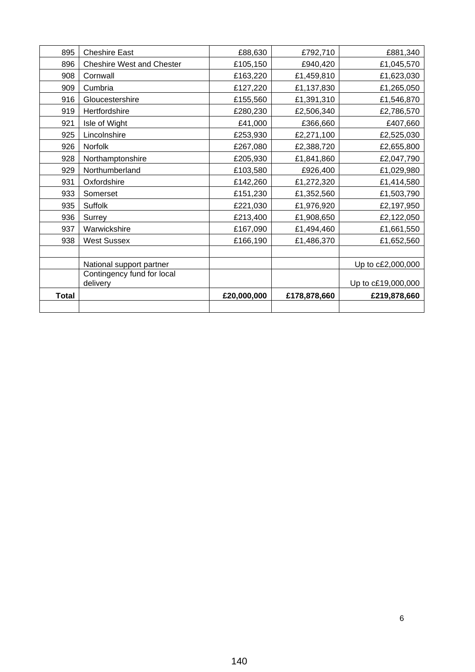| 895          | <b>Cheshire East</b>             | £88,630     | £792,710     | £881,340           |
|--------------|----------------------------------|-------------|--------------|--------------------|
| 896          | <b>Cheshire West and Chester</b> | £105,150    | £940,420     | £1,045,570         |
| 908          | Cornwall                         | £163,220    | £1,459,810   | £1,623,030         |
| 909          | Cumbria                          | £127,220    | £1,137,830   | £1,265,050         |
| 916          | Gloucestershire                  | £155,560    | £1,391,310   | £1,546,870         |
| 919          | Hertfordshire                    | £280,230    | £2,506,340   | £2,786,570         |
| 921          | Isle of Wight                    | £41,000     | £366,660     | £407,660           |
| 925          | Lincolnshire                     | £253,930    | £2,271,100   | £2,525,030         |
| 926          | Norfolk                          | £267,080    | £2,388,720   | £2,655,800         |
| 928          | Northamptonshire                 | £205,930    | £1,841,860   | £2,047,790         |
| 929          | Northumberland                   | £103,580    | £926,400     | £1,029,980         |
| 931          | Oxfordshire                      | £142,260    | £1,272,320   | £1,414,580         |
| 933          | Somerset                         | £151,230    | £1,352,560   | £1,503,790         |
| 935          | Suffolk                          | £221,030    | £1,976,920   | £2,197,950         |
| 936          | Surrey                           | £213,400    | £1,908,650   | £2,122,050         |
| 937          | Warwickshire                     | £167,090    | £1,494,460   | £1,661,550         |
| 938          | <b>West Sussex</b>               | £166,190    | £1,486,370   | £1,652,560         |
|              |                                  |             |              |                    |
|              | National support partner         |             |              | Up to c£2,000,000  |
|              | Contingency fund for local       |             |              |                    |
|              | delivery                         |             |              | Up to c£19,000,000 |
| <b>Total</b> |                                  | £20,000,000 | £178,878,660 | £219,878,660       |
|              |                                  |             |              |                    |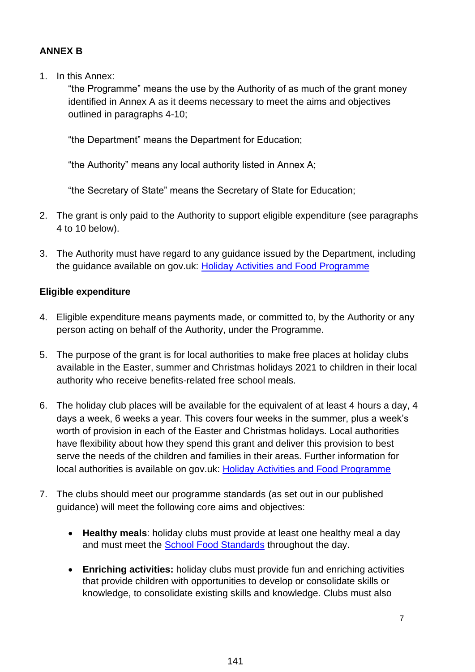## **ANNEX B**

1. In this Annex:

"the Programme" means the use by the Authority of as much of the grant money identified in Annex A as it deems necessary to meet the aims and objectives outlined in paragraphs 4-10;

"the Department" means the Department for Education;

"the Authority" means any local authority listed in Annex A;

"the Secretary of State" means the Secretary of State for Education;

- 2. The grant is only paid to the Authority to support eligible expenditure (see paragraphs 4 to 10 below).
- 3. The Authority must have regard to any guidance issued by the Department, including the guidance available on gov.uk: Holiday [Activities and Food Programme](https://www.gov.uk/government/publications/holiday-activities-and-food-programme)

### **Eligible expenditure**

- 4. Eligible expenditure means payments made, or committed to, by the Authority or any person acting on behalf of the Authority, under the Programme.
- 5. The purpose of the grant is for local authorities to make free places at holiday clubs available in the Easter, summer and Christmas holidays 2021 to children in their local authority who receive benefits-related free school meals.
- 6. The holiday club places will be available for the equivalent of at least 4 hours a day, 4 days a week, 6 weeks a year. This covers four weeks in the summer, plus a week's worth of provision in each of the Easter and Christmas holidays. Local authorities have flexibility about how they spend this grant and deliver this provision to best serve the needs of the children and families in their areas. Further information for local authorities is available on gov.uk: [Holiday Activities and Food Programme](https://www.gov.uk/government/publications/holiday-activities-and-food-programme)
- 7. The clubs should meet our programme standards (as set out in our published guidance) will meet the following core aims and objectives:
	- **Healthy meals**: holiday clubs must provide at least one healthy meal a day and must meet the [School Food Standards](https://www.gov.uk/government/publications/standards-for-school-food-in-england) throughout the day.
	- **Enriching activities:** holiday clubs must provide fun and enriching activities that provide children with opportunities to develop or consolidate skills or knowledge, to consolidate existing skills and knowledge. Clubs must also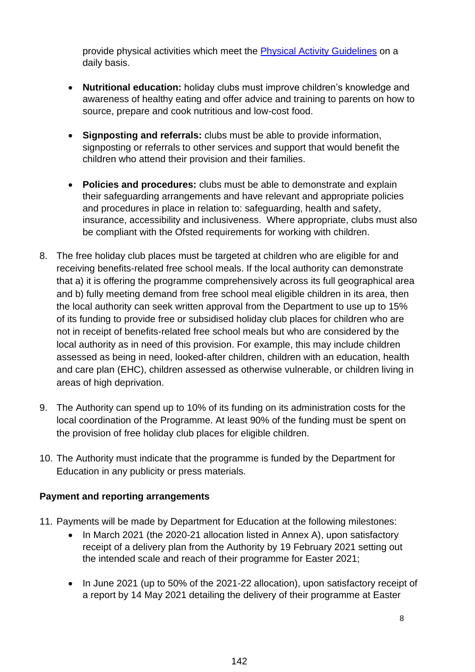provide physical activities which meet the [Physical Activity Guidelines](https://www.gov.uk/government/collections/physical-activity-guidelines) on a daily basis.

- **Nutritional education:** holiday clubs must improve children's knowledge and awareness of healthy eating and offer advice and training to parents on how to source, prepare and cook nutritious and low-cost food.
- **Signposting and referrals:** clubs must be able to provide information, signposting or referrals to other services and support that would benefit the children who attend their provision and their families.
- **Policies and procedures:** clubs must be able to demonstrate and explain their safeguarding arrangements and have relevant and appropriate policies and procedures in place in relation to: safeguarding, health and safety, insurance, accessibility and inclusiveness. Where appropriate, clubs must also be compliant with the Ofsted requirements for working with children.
- 8. The free holiday club places must be targeted at children who are eligible for and receiving benefits-related free school meals. If the local authority can demonstrate that a) it is offering the programme comprehensively across its full geographical area and b) fully meeting demand from free school meal eligible children in its area, then the local authority can seek written approval from the Department to use up to 15% of its funding to provide free or subsidised holiday club places for children who are not in receipt of benefits-related free school meals but who are considered by the local authority as in need of this provision. For example, this may include children assessed as being in need, looked-after children, children with an education, health and care plan (EHC), children assessed as otherwise vulnerable, or children living in areas of high deprivation.
- 9. The Authority can spend up to 10% of its funding on its administration costs for the local coordination of the Programme. At least 90% of the funding must be spent on the provision of free holiday club places for eligible children.
- 10. The Authority must indicate that the programme is funded by the Department for Education in any publicity or press materials.

### **Payment and reporting arrangements**

- 11. Payments will be made by Department for Education at the following milestones:
	- In March 2021 (the 2020-21 allocation listed in Annex A), upon satisfactory receipt of a delivery plan from the Authority by 19 February 2021 setting out the intended scale and reach of their programme for Easter 2021;
	- In June 2021 (up to 50% of the 2021-22 allocation), upon satisfactory receipt of a report by 14 May 2021 detailing the delivery of their programme at Easter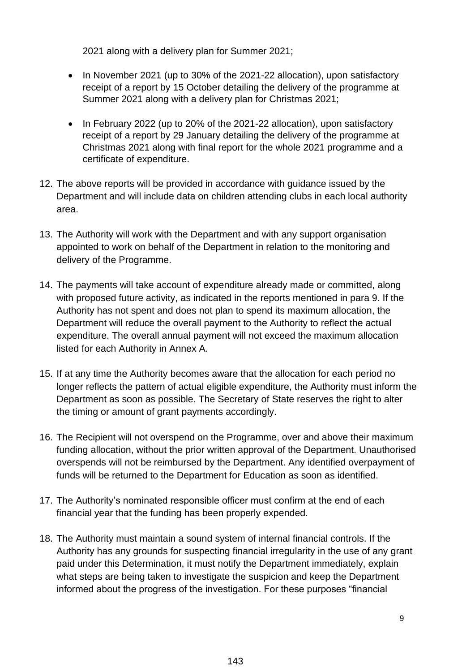2021 along with a delivery plan for Summer 2021;

- In November 2021 (up to 30% of the 2021-22 allocation), upon satisfactory receipt of a report by 15 October detailing the delivery of the programme at Summer 2021 along with a delivery plan for Christmas 2021;
- In February 2022 (up to 20% of the 2021-22 allocation), upon satisfactory receipt of a report by 29 January detailing the delivery of the programme at Christmas 2021 along with final report for the whole 2021 programme and a certificate of expenditure.
- 12. The above reports will be provided in accordance with guidance issued by the Department and will include data on children attending clubs in each local authority area.
- 13. The Authority will work with the Department and with any support organisation appointed to work on behalf of the Department in relation to the monitoring and delivery of the Programme.
- 14. The payments will take account of expenditure already made or committed, along with proposed future activity, as indicated in the reports mentioned in para 9. If the Authority has not spent and does not plan to spend its maximum allocation, the Department will reduce the overall payment to the Authority to reflect the actual expenditure. The overall annual payment will not exceed the maximum allocation listed for each Authority in Annex A.
- 15. If at any time the Authority becomes aware that the allocation for each period no longer reflects the pattern of actual eligible expenditure, the Authority must inform the Department as soon as possible. The Secretary of State reserves the right to alter the timing or amount of grant payments accordingly.
- 16. The Recipient will not overspend on the Programme, over and above their maximum funding allocation, without the prior written approval of the Department. Unauthorised overspends will not be reimbursed by the Department. Any identified overpayment of funds will be returned to the Department for Education as soon as identified.
- 17. The Authority's nominated responsible officer must confirm at the end of each financial year that the funding has been properly expended.
- 18. The Authority must maintain a sound system of internal financial controls. If the Authority has any grounds for suspecting financial irregularity in the use of any grant paid under this Determination, it must notify the Department immediately, explain what steps are being taken to investigate the suspicion and keep the Department informed about the progress of the investigation. For these purposes "financial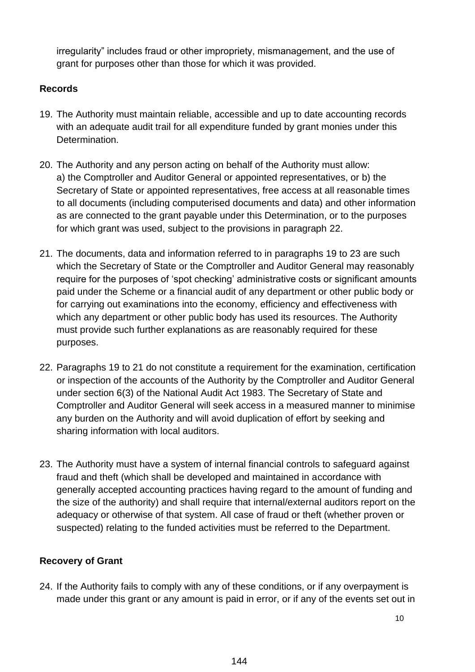irregularity" includes fraud or other impropriety, mismanagement, and the use of grant for purposes other than those for which it was provided.

## **Records**

- 19. The Authority must maintain reliable, accessible and up to date accounting records with an adequate audit trail for all expenditure funded by grant monies under this Determination.
- 20. The Authority and any person acting on behalf of the Authority must allow: a) the Comptroller and Auditor General or appointed representatives, or b) the Secretary of State or appointed representatives, free access at all reasonable times to all documents (including computerised documents and data) and other information as are connected to the grant payable under this Determination, or to the purposes for which grant was used, subject to the provisions in paragraph 22.
- 21. The documents, data and information referred to in paragraphs 19 to 23 are such which the Secretary of State or the Comptroller and Auditor General may reasonably require for the purposes of 'spot checking' administrative costs or significant amounts paid under the Scheme or a financial audit of any department or other public body or for carrying out examinations into the economy, efficiency and effectiveness with which any department or other public body has used its resources. The Authority must provide such further explanations as are reasonably required for these purposes.
- 22. Paragraphs 19 to 21 do not constitute a requirement for the examination, certification or inspection of the accounts of the Authority by the Comptroller and Auditor General under section 6(3) of the National Audit Act 1983. The Secretary of State and Comptroller and Auditor General will seek access in a measured manner to minimise any burden on the Authority and will avoid duplication of effort by seeking and sharing information with local auditors.
- 23. The Authority must have a system of internal financial controls to safeguard against fraud and theft (which shall be developed and maintained in accordance with generally accepted accounting practices having regard to the amount of funding and the size of the authority) and shall require that internal/external auditors report on the adequacy or otherwise of that system. All case of fraud or theft (whether proven or suspected) relating to the funded activities must be referred to the Department.

# **Recovery of Grant**

24. If the Authority fails to comply with any of these conditions, or if any overpayment is made under this grant or any amount is paid in error, or if any of the events set out in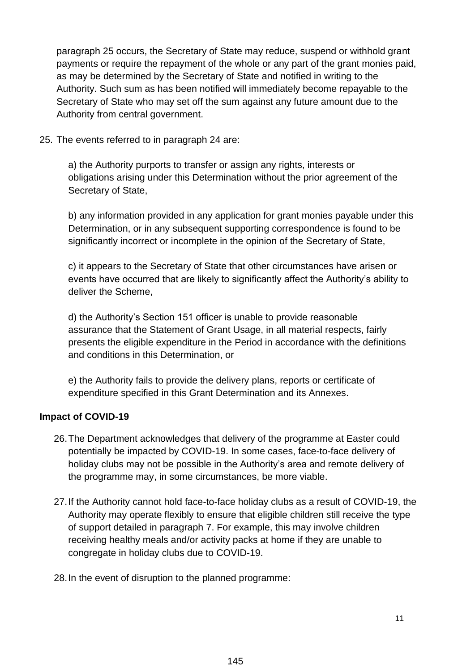paragraph 25 occurs, the Secretary of State may reduce, suspend or withhold grant payments or require the repayment of the whole or any part of the grant monies paid, as may be determined by the Secretary of State and notified in writing to the Authority. Such sum as has been notified will immediately become repayable to the Secretary of State who may set off the sum against any future amount due to the Authority from central government.

25. The events referred to in paragraph 24 are:

a) the Authority purports to transfer or assign any rights, interests or obligations arising under this Determination without the prior agreement of the Secretary of State,

b) any information provided in any application for grant monies payable under this Determination, or in any subsequent supporting correspondence is found to be significantly incorrect or incomplete in the opinion of the Secretary of State,

c) it appears to the Secretary of State that other circumstances have arisen or events have occurred that are likely to significantly affect the Authority's ability to deliver the Scheme,

d) the Authority's Section 151 officer is unable to provide reasonable assurance that the Statement of Grant Usage, in all material respects, fairly presents the eligible expenditure in the Period in accordance with the definitions and conditions in this Determination, or

e) the Authority fails to provide the delivery plans, reports or certificate of expenditure specified in this Grant Determination and its Annexes.

# **Impact of COVID-19**

- 26.The Department acknowledges that delivery of the programme at Easter could potentially be impacted by COVID-19. In some cases, face-to-face delivery of holiday clubs may not be possible in the Authority's area and remote delivery of the programme may, in some circumstances, be more viable.
- 27.If the Authority cannot hold face-to-face holiday clubs as a result of COVID-19, the Authority may operate flexibly to ensure that eligible children still receive the type of support detailed in paragraph 7. For example, this may involve children receiving healthy meals and/or activity packs at home if they are unable to congregate in holiday clubs due to COVID-19.
- 28.In the event of disruption to the planned programme: